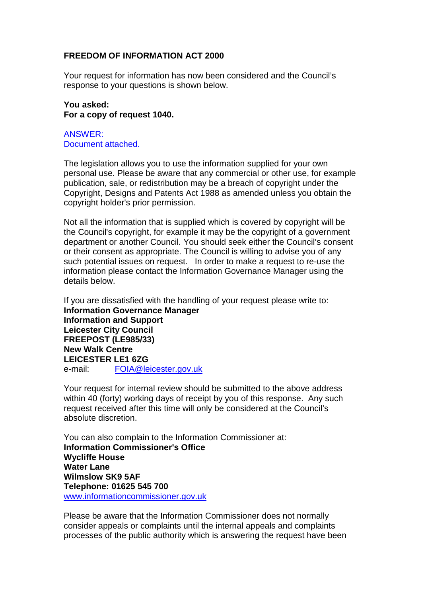## **FREEDOM OF INFORMATION ACT 2000**

Your request for information has now been considered and the Council's response to your questions is shown below.

**You asked: For a copy of request 1040.**

ANSWER: Document attached.

The legislation allows you to use the information supplied for your own personal use. Please be aware that any commercial or other use, for example publication, sale, or redistribution may be a breach of copyright under the Copyright, Designs and Patents Act 1988 as amended unless you obtain the copyright holder's prior permission.

Not all the information that is supplied which is covered by copyright will be the Council's copyright, for example it may be the copyright of a government department or another Council. You should seek either the Council's consent or their consent as appropriate. The Council is willing to advise you of any such potential issues on request. In order to make a request to re-use the information please contact the Information Governance Manager using the details below.

If you are dissatisfied with the handling of your request please write to: **Information Governance Manager Information and Support Leicester City Council FREEPOST (LE985/33) New Walk Centre LEICESTER LE1 6ZG**  e-mail: FOIA@leicester.gov.uk

Your request for internal review should be submitted to the above address within 40 (forty) working days of receipt by you of this response. Any such request received after this time will only be considered at the Council's absolute discretion.

You can also complain to the Information Commissioner at: **Information Commissioner's Office Wycliffe House Water Lane Wilmslow SK9 5AF Telephone: 01625 545 700**  www.informationcommissioner.gov.uk

Please be aware that the Information Commissioner does not normally consider appeals or complaints until the internal appeals and complaints processes of the public authority which is answering the request have been